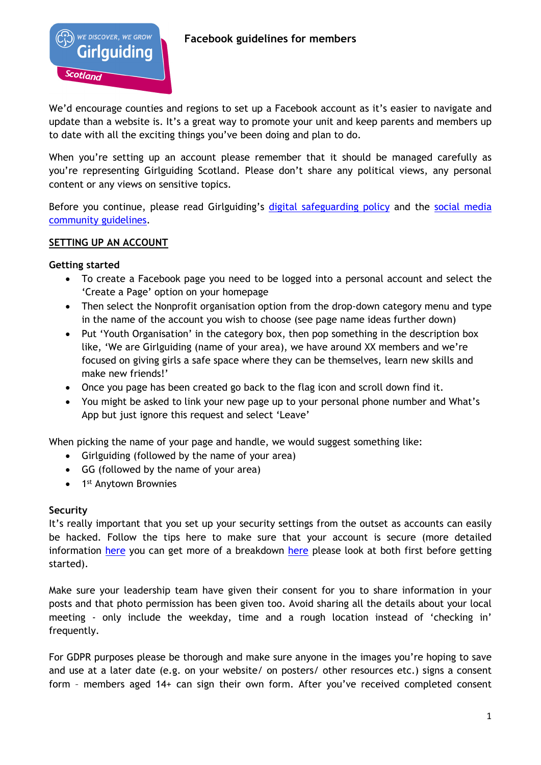

We'd encourage counties and regions to set up a Facebook account as it's easier to navigate and update than a website is. It's a great way to promote your unit and keep parents and members up to date with all the exciting things you've been doing and plan to do.

When you're setting up an account please remember that it should be managed carefully as you're representing Girlguiding Scotland. Please don't share any political views, any personal content or any views on sensitive topics.

Before you continue, please read Girlguiding's [digital safeguarding policy](https://www.girlguiding.org.uk/making-guiding-happen/policies/digital-safeguarding-policy/) and the social media [community guidelines.](https://www.girlguiding.org.uk/community-guidelines/)

# **SETTING UP AN ACCOUNT**

## **Getting started**

- To create a Facebook page you need to be logged into a personal account and select the 'Create a Page' option on your homepage
- Then select the Nonprofit organisation option from the drop-down category menu and type in the name of the account you wish to choose (see page name ideas further down)
- Put 'Youth Organisation' in the category box, then pop something in the description box like, 'We are Girlguiding (name of your area), we have around XX members and we're focused on giving girls a safe space where they can be themselves, learn new skills and make new friends!'
- Once you page has been created go back to the flag icon and scroll down find it.
- You might be asked to link your new page up to your personal phone number and What's App but just ignore this request and select 'Leave'

When picking the name of your page and handle, we would suggest something like:

- Girlguiding (followed by the name of your area)
- GG (followed by the name of your area)
- 1<sup>st</sup> Anytown Brownies

### **Security**

It's really important that you set up your security settings from the outset as accounts can easily be hacked. Follow the tips here to make sure that your account is secure (more detailed information [here](https://www.facebook.com/business/news/tips-to-keep-your-facebook-account-and-business-page-secure) you can get more of a breakdown here please look at both first before getting started).

Make sure your leadership team have given their consent for you to share information in your posts and that photo permission has been given too. Avoid sharing all the details about your local meeting - only include the weekday, time and a rough location instead of 'checking in' frequently.

For GDPR purposes please be thorough and make sure anyone in the images you're hoping to save and use at a later date (e.g. on your website/ on posters/ other resources etc.) signs a consent form – members aged 14+ can sign their own form. After you've received completed consent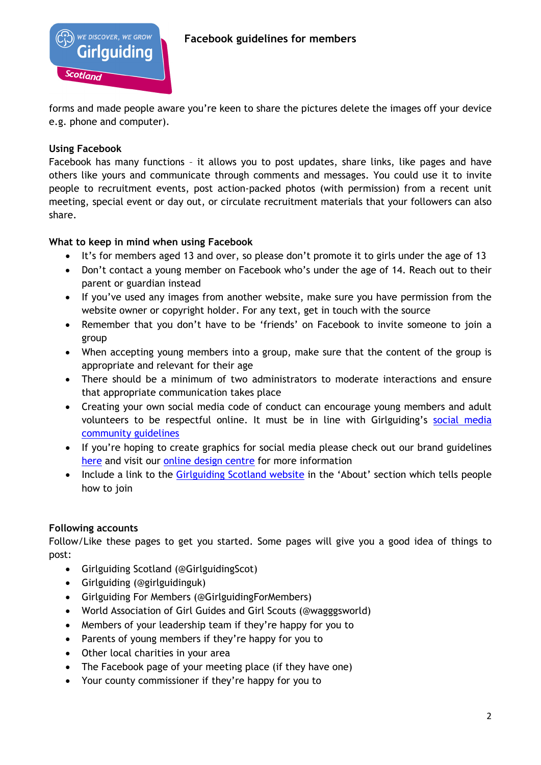

forms and made people aware you're keen to share the pictures delete the images off your device e.g. phone and computer).

# **Using Facebook**

Facebook has many functions – it allows you to post updates, share links, like pages and have others like yours and communicate through comments and messages. You could use it to invite people to recruitment events, post action-packed photos (with permission) from a recent unit meeting, special event or day out, or circulate recruitment materials that your followers can also share.

# **What to keep in mind when using Facebook**

- It's for members aged 13 and over, so please don't promote it to girls under the age of 13
- Don't contact a young member on Facebook who's under the age of 14. Reach out to their parent or guardian instead
- If you've used any images from another website, make sure you have permission from the website owner or copyright holder. For any text, get in touch with the source
- Remember that you don't have to be 'friends' on Facebook to invite someone to join a group
- When accepting young members into a group, make sure that the content of the group is appropriate and relevant for their age
- There should be a minimum of two administrators to moderate interactions and ensure that appropriate communication takes place
- Creating your own social media code of conduct can encourage young members and adult volunteers to be respectful online. It must be in line with Girlguiding's social media [community guidelines](https://www.girlguiding.org.uk/community-guidelines/)
- If you're hoping to create graphics for social media please check out our brand guidelines [here](https://www.girlguiding.org.uk/making-guiding-happen/resources/how-to-use-our-brand/) and visit our [online design](https://www.girlguiding.org.uk/making-guiding-happen/resources/online-design-centre/) centre for more information
- Include a link to the [Girlguiding Scotland website](https://www.girlguidingscotland.org.uk/get-involved/joining-for-girls/) in the 'About' section which tells people how to join

# **Following accounts**

Follow/Like these pages to get you started. Some pages will give you a good idea of things to post:

- Girlguiding Scotland (@GirlguidingScot)
- Girlguiding (@girlguidinguk)
- Girlguiding For Members (@GirlguidingForMembers)
- World Association of Girl Guides and Girl Scouts (@wagggsworld)
- Members of your leadership team if they're happy for you to
- Parents of young members if they're happy for you to
- Other local charities in your area
- The Facebook page of your meeting place (if they have one)
- Your county commissioner if they're happy for you to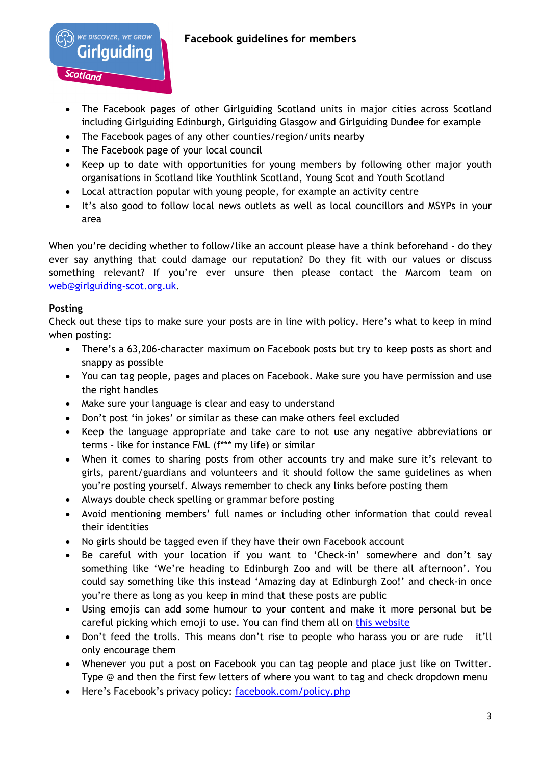# **Facebook guidelines for members**

- The Facebook pages of other Girlguiding Scotland units in major cities across Scotland including Girlguiding Edinburgh, Girlguiding Glasgow and Girlguiding Dundee for example
- The Facebook pages of any other counties/region/units nearby
- The Facebook page of your local council

WE DISCOVER, WE GROW Girlauidina

Scotland

- Keep up to date with opportunities for young members by following other major youth organisations in Scotland like Youthlink Scotland, Young Scot and Youth Scotland
- Local attraction popular with young people, for example an activity centre
- It's also good to follow local news outlets as well as local councillors and MSYPs in your area

When you're deciding whether to follow/like an account please have a think beforehand - do they ever say anything that could damage our reputation? Do they fit with our values or discuss something relevant? If you're ever unsure then please contact the Marcom team on [web@girlguiding-scot.org.uk.](mailto:web@girlguiding-scot.org.uk)

## **Posting**

Check out these tips to make sure your posts are in line with policy. Here's what to keep in mind when posting:

- There's a 63,206-character maximum on Facebook posts but try to keep posts as short and snappy as possible
- You can tag people, pages and places on Facebook. Make sure you have permission and use the right handles
- Make sure your language is clear and easy to understand
- Don't post 'in jokes' or similar as these can make others feel excluded
- Keep the language appropriate and take care to not use any negative abbreviations or terms – like for instance FML (f\*\*\* my life) or similar
- When it comes to sharing posts from other accounts try and make sure it's relevant to girls, parent/guardians and volunteers and it should follow the same guidelines as when you're posting yourself. Always remember to check any links before posting them
- Always double check spelling or grammar before posting
- Avoid mentioning members' full names or including other information that could reveal their identities
- No girls should be tagged even if they have their own Facebook account
- Be careful with your location if you want to 'Check-in' somewhere and don't say something like 'We're heading to Edinburgh Zoo and will be there all afternoon'. You could say something like this instead 'Amazing day at Edinburgh Zoo!' and check-in once you're there as long as you keep in mind that these posts are public
- Using emojis can add some humour to your content and make it more personal but be careful picking which emoji to use. You can find them all on [this website](https://emojipedia.org/)
- Don't feed the trolls. This means don't rise to people who harass you or are rude it'll only encourage them
- Whenever you put a post on Facebook you can tag people and place just like on Twitter. Type @ and then the first few letters of where you want to tag and check dropdown menu
- Here's Facebook's privacy policy: [facebook.com/policy.php](https://www.facebook.com/policy.php)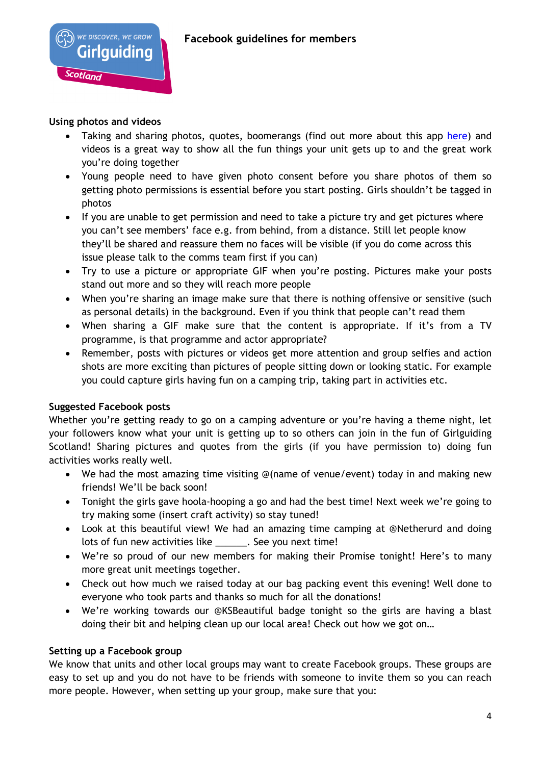## **Using photos and videos**

Scotland

WE DISCOVER, WE GROW

lauidina

- Taking and sharing photos, quotes, boomerangs (find out more about this app [here\)](https://itunes.apple.com/gb/app/boomerang-from-instagram/id1041596399?mt=8) and videos is a great way to show all the fun things your unit gets up to and the great work you're doing together
- Young people need to have given photo consent before you share photos of them so getting photo permissions is essential before you start posting. Girls shouldn't be tagged in photos
- If you are unable to get permission and need to take a picture try and get pictures where you can't see members' face e.g. from behind, from a distance. Still let people know they'll be shared and reassure them no faces will be visible (if you do come across this issue please talk to the comms team first if you can)
- Try to use a picture or appropriate GIF when you're posting. Pictures make your posts stand out more and so they will reach more people
- When you're sharing an image make sure that there is nothing offensive or sensitive (such as personal details) in the background. Even if you think that people can't read them
- When sharing a GIF make sure that the content is appropriate. If it's from a TV programme, is that programme and actor appropriate?
- Remember, posts with pictures or videos get more attention and group selfies and action shots are more exciting than pictures of people sitting down or looking static. For example you could capture girls having fun on a camping trip, taking part in activities etc.

### **Suggested Facebook posts**

Whether you're getting ready to go on a camping adventure or you're having a theme night, let your followers know what your unit is getting up to so others can join in the fun of Girlguiding Scotland! Sharing pictures and quotes from the girls (if you have permission to) doing fun activities works really well.

- We had the most amazing time visiting @(name of venue/event) today in and making new friends! We'll be back soon!
- Tonight the girls gave hoola-hooping a go and had the best time! Next week we're going to try making some (insert craft activity) so stay tuned!
- Look at this beautiful view! We had an amazing time camping at @Netherurd and doing lots of fun new activities like . See you next time!
- We're so proud of our new members for making their Promise tonight! Here's to many more great unit meetings together.
- Check out how much we raised today at our bag packing event this evening! Well done to everyone who took parts and thanks so much for all the donations!
- We're working towards our @KSBeautiful badge tonight so the girls are having a blast doing their bit and helping clean up our local area! Check out how we got on…

### **Setting up a Facebook group**

We know that units and other local groups may want to create Facebook groups. These groups are easy to set up and you do not have to be friends with someone to invite them so you can reach more people. However, when setting up your group, make sure that you: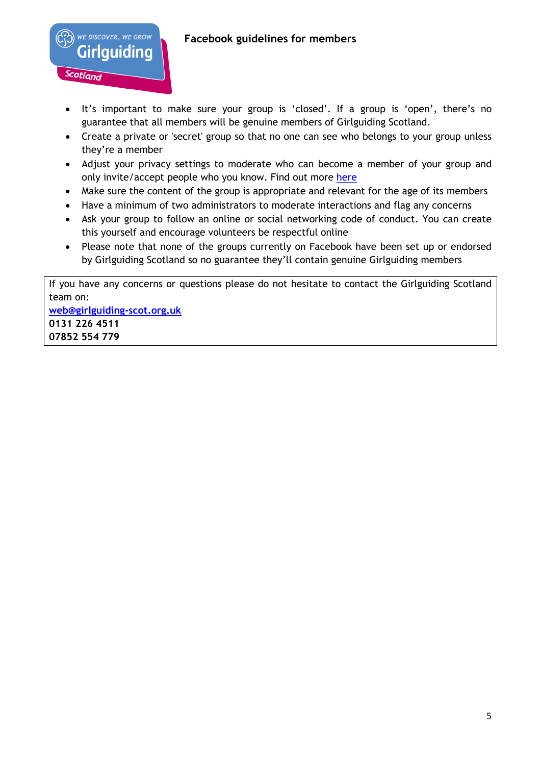# **Facebook guidelines for members**

WE DISCOVER, WE GROW Girlauidina

Scotland

- It's important to make sure your group is 'closed'. If a group is 'open', there's no guarantee that all members will be genuine members of Girlguiding Scotland.
- Create a private or 'secret' group so that no one can see who belongs to your group unless they're a member
- Adjust your privacy settings to moderate who can become a member of your group and only invite/accept people who you know. Find out more [here](https://www.facebook.com/help/325807937506242/)
- Make sure the content of the group is appropriate and relevant for the age of its members
- Have a minimum of two administrators to moderate interactions and flag any concerns
- Ask your group to follow an online or social networking code of conduct. You can create this yourself and encourage volunteers be respectful online
- Please note that none of the groups currently on Facebook have been set up or endorsed by Girlguiding Scotland so no guarantee they'll contain genuine Girlguiding members

If you have any concerns or questions please do not hesitate to contact the Girlguiding Scotland team on: **[web@girlguiding-scot.org.uk](mailto:web@girlguiding-scot.org.uk) 0131 226 4511 07852 554 779**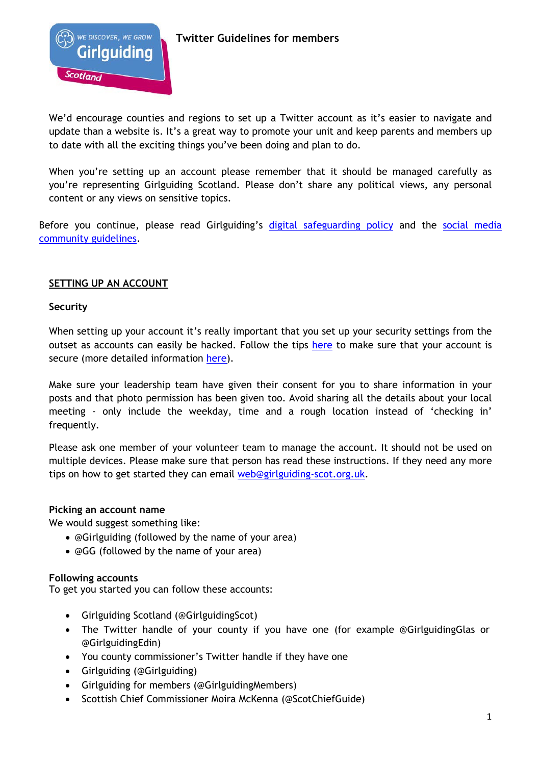

We'd encourage counties and regions to set up a Twitter account as it's easier to navigate and update than a website is. It's a great way to promote your unit and keep parents and members up to date with all the exciting things you've been doing and plan to do.

When you're setting up an account please remember that it should be managed carefully as you're representing Girlguiding Scotland. Please don't share any political views, any personal content or any views on sensitive topics.

Before you continue, please read Girlguiding's [digital safeguarding policy](https://www.girlguiding.org.uk/making-guiding-happen/policies/digital-safeguarding-policy/) and the social media [community guidelines.](https://www.girlguiding.org.uk/community-guidelines/)

## **SETTING UP AN ACCOUNT**

### **Security**

When setting up your account it's really important that you set up your security settings from the outset as accounts can easily be hacked. Follow the tips [here](https://support.twitter.com/articles/76036) to make sure that your account is secure (more detailed information [here\)](https://www.howtogeek.com/282853/how-to-secure-your-twitter-account/).

Make sure your leadership team have given their consent for you to share information in your posts and that photo permission has been given too. Avoid sharing all the details about your local meeting - only include the weekday, time and a rough location instead of 'checking in' frequently.

Please ask one member of your volunteer team to manage the account. It should not be used on multiple devices. Please make sure that person has read these instructions. If they need any more tips on how to get started they can email [web@girlguiding-scot.org.uk.](mailto:web@girlguiding-scot.org.uk)

### **Picking an account name**

We would suggest something like:

- @Girlguiding (followed by the name of your area)
- @GG (followed by the name of your area)

### **Following accounts**

To get you started you can follow these accounts:

- Girlguiding Scotland (@GirlguidingScot)
- The Twitter handle of your county if you have one (for example @GirlguidingGlas or @GirlguidingEdin)
- You county commissioner's Twitter handle if they have one
- Girlguiding (@Girlguiding)
- Girlguiding for members (@GirlguidingMembers)
- Scottish Chief Commissioner Moira McKenna (@ScotChiefGuide)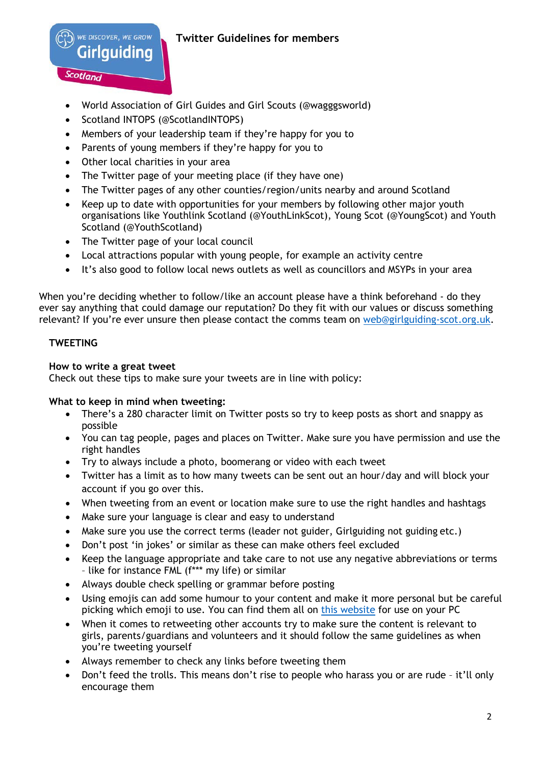

Scotland

# **Twitter Guidelines for members**

- World Association of Girl Guides and Girl Scouts (@wagggsworld)
- Scotland INTOPS (@ScotlandINTOPS)
- Members of your leadership team if they're happy for you to
- Parents of young members if they're happy for you to
- Other local charities in your area
- The Twitter page of your meeting place (if they have one)
- The Twitter pages of any other counties/region/units nearby and around Scotland
- Keep up to date with opportunities for your members by following other major youth organisations like Youthlink Scotland (@YouthLinkScot), Young Scot (@YoungScot) and Youth Scotland (@YouthScotland)
- The Twitter page of your local council
- Local attractions popular with young people, for example an activity centre
- It's also good to follow local news outlets as well as councillors and MSYPs in your area

When you're deciding whether to follow/like an account please have a think beforehand - do they ever say anything that could damage our reputation? Do they fit with our values or discuss something relevant? If you're ever unsure then please contact the comms team on [web@girlguiding-scot.org.uk.](mailto:web@girlguiding-scot.org.uk)

# **TWEETING**

## **How to write a great tweet**

Check out these tips to make sure your tweets are in line with policy:

# **What to keep in mind when tweeting:**

- There's a 280 character limit on Twitter posts so try to keep posts as short and snappy as possible
- You can tag people, pages and places on Twitter. Make sure you have permission and use the right handles
- Try to always include a photo, boomerang or video with each tweet
- Twitter has a limit as to how many tweets can be sent out an hour/day and will block your account if you go over this.
- When tweeting from an event or location make sure to use the right handles and hashtags
- Make sure your language is clear and easy to understand
- Make sure you use the correct terms (leader not guider, Girlguiding not guiding etc.)
- Don't post 'in jokes' or similar as these can make others feel excluded
- Keep the language appropriate and take care to not use any negative abbreviations or terms – like for instance FML (f\*\*\* my life) or similar
- Always double check spelling or grammar before posting
- Using emojis can add some humour to your content and make it more personal but be careful picking which emoji to use. You can find them all on [this website](https://emojipedia.org/) for use on your PC
- When it comes to retweeting other accounts try to make sure the content is relevant to girls, parents/guardians and volunteers and it should follow the same guidelines as when you're tweeting yourself
- Always remember to check any links before tweeting them
- Don't feed the trolls. This means don't rise to people who harass you or are rude it'll only encourage them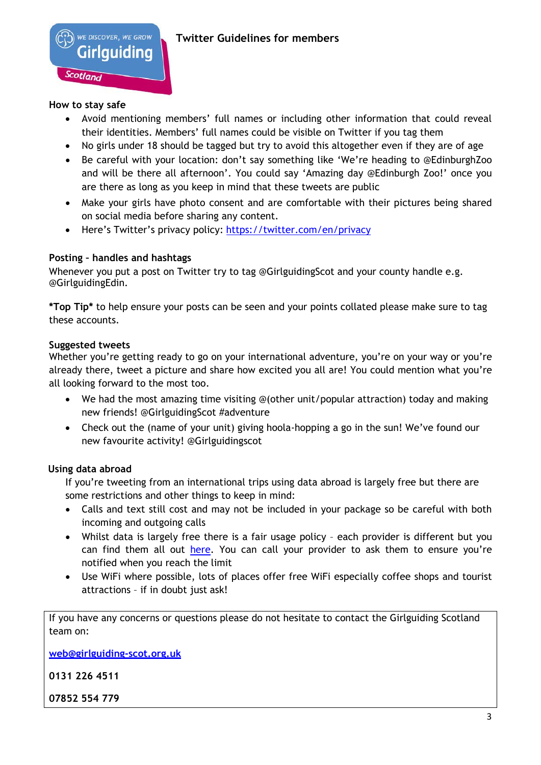### **How to stay safe**

- Avoid mentioning members' full names or including other information that could reveal their identities. Members' full names could be visible on Twitter if you tag them
- No girls under 18 should be tagged but try to avoid this altogether even if they are of age
- Be careful with your location: don't say something like 'We're heading to @EdinburghZoo and will be there all afternoon'. You could say 'Amazing day @Edinburgh Zoo!' once you are there as long as you keep in mind that these tweets are public
- Make your girls have photo consent and are comfortable with their pictures being shared on social media before sharing any content.
- Here's Twitter's privacy policy: <https://twitter.com/en/privacy>

## **Posting – handles and hashtags**

Whenever you put a post on Twitter try to tag @GirlguidingScot and your county handle e.g. @GirlguidingEdin.

**\*Top Tip\*** to help ensure your posts can be seen and your points collated please make sure to tag these accounts.

## **Suggested tweets**

Whether you're getting ready to go on your international adventure, you're on your way or you're already there, tweet a picture and share how excited you all are! You could mention what you're all looking forward to the most too.

- We had the most amazing time visiting @(other unit/popular attraction) today and making new friends! @GirlguidingScot #adventure
- Check out the (name of your unit) giving hoola-hopping a go in the sun! We've found our new favourite activity! @Girlguidingscot

# **Using data abroad**

If you're tweeting from an international trips using data abroad is largely free but there are some restrictions and other things to keep in mind:

- Calls and text still cost and may not be included in your package so be careful with both incoming and outgoing calls
- Whilst data is largely free there is a fair usage policy each provider is different but you can find them all out [here.](https://www.which.co.uk/reviews/mobile-phone-providers/article/eu-roaming-and-international-calls-explained) You can call your provider to ask them to ensure you're notified when you reach the limit
- Use WiFi where possible, lots of places offer free WiFi especially coffee shops and tourist attractions – if in doubt just ask!

If you have any concerns or questions please do not hesitate to contact the Girlguiding Scotland team on:

**[web@girlguiding-scot.org.uk](mailto:web@girlguiding-scot.org.uk)**

**0131 226 4511**

**07852 554 779**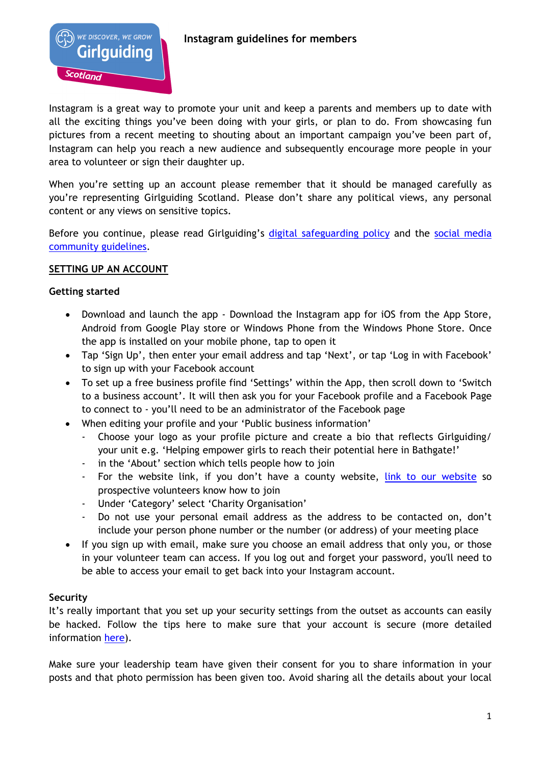

Instagram is a great way to promote your unit and keep a parents and members up to date with all the exciting things you've been doing with your girls, or plan to do. From showcasing fun pictures from a recent meeting to shouting about an important campaign you've been part of, Instagram can help you reach a new audience and subsequently encourage more people in your area to volunteer or sign their daughter up.

When you're setting up an account please remember that it should be managed carefully as you're representing Girlguiding Scotland. Please don't share any political views, any personal content or any views on sensitive topics.

Before you continue, please read Girlguiding's [digital safeguarding policy](https://www.girlguiding.org.uk/making-guiding-happen/policies/digital-safeguarding-policy/) and the social media [community guidelines.](https://www.girlguiding.org.uk/community-guidelines/)

## **SETTING UP AN ACCOUNT**

### **Getting started**

- Download and launch the app Download the Instagram app for iOS from the App Store, Android from Google Play store or Windows Phone from the Windows Phone Store. Once the app is installed on your mobile phone, tap to open it
- Tap 'Sign Up', then enter your email address and tap 'Next', or tap 'Log in with Facebook' to sign up with your Facebook account
- To set up a free business profile find 'Settings' within the App, then scroll down to 'Switch to a business account'. It will then ask you for your Facebook profile and a Facebook Page to connect to - you'll need to be an administrator of the Facebook page
- When editing your profile and your 'Public business information'
	- Choose your logo as your profile picture and create a bio that reflects Girlguiding/ your unit e.g. 'Helping empower girls to reach their potential here in Bathgate!'
	- in the 'About' section which tells people how to join
	- For the website link, if you don't have a county website, [link to our website](https://www.girlguidingscotland.org.uk/get-involved/volunteer/) so prospective volunteers know how to join
	- Under 'Category' select 'Charity Organisation'
	- Do not use your personal email address as the address to be contacted on, don't include your person phone number or the number (or address) of your meeting place
- If you sign up with email, make sure you choose an email address that only you, or those in your volunteer team can access. If you log out and forget your password, you'll need to be able to access your email to get back into your Instagram account.

### **Security**

It's really important that you set up your security settings from the outset as accounts can easily be hacked. Follow the tips here to make sure that your account is secure (more detailed information [here\)](https://help.instagram.com/196883487377501).

Make sure your leadership team have given their consent for you to share information in your posts and that photo permission has been given too. Avoid sharing all the details about your local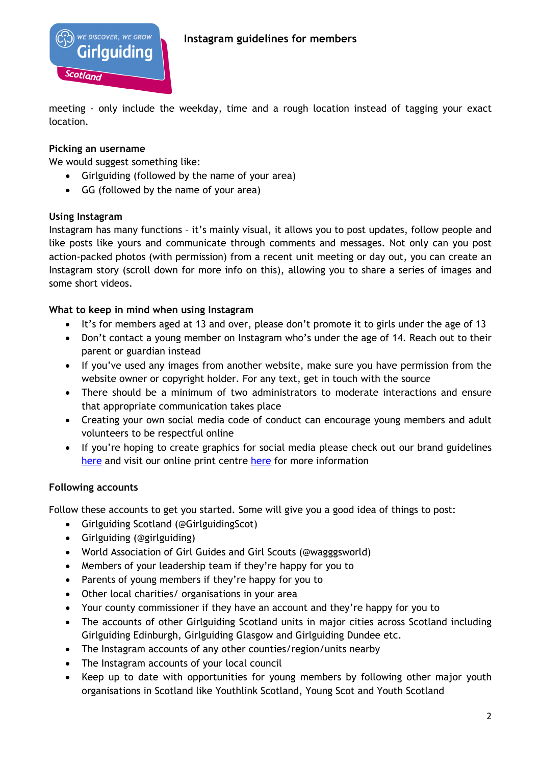

meeting - only include the weekday, time and a rough location instead of tagging your exact location.

## **Picking an username**

Scotland

We would suggest something like:

**WE DISCOVER, WE GROW** 

lauidina

- Girlguiding (followed by the name of your area)
- GG (followed by the name of your area)

### **Using Instagram**

Instagram has many functions – it's mainly visual, it allows you to post updates, follow people and like posts like yours and communicate through comments and messages. Not only can you post action-packed photos (with permission) from a recent unit meeting or day out, you can create an Instagram story (scroll down for more info on this), allowing you to share a series of images and some short videos.

## **What to keep in mind when using Instagram**

- It's for members aged at 13 and over, please don't promote it to girls under the age of 13
- Don't contact a young member on Instagram who's under the age of 14. Reach out to their parent or guardian instead
- If you've used any images from another website, make sure you have permission from the website owner or copyright holder. For any text, get in touch with the source
- There should be a minimum of two administrators to moderate interactions and ensure that appropriate communication takes place
- Creating your own social media code of conduct can encourage young members and adult volunteers to be respectful online
- If you're hoping to create graphics for social media please check out our brand guidelines [here](https://www.girlguiding.org.uk/making-guiding-happen/resources/how-to-use-our-brand/) and visit our online print centre [here](https://www.girlguiding.org.uk/making-guiding-happen/resources/online-print-centre-opc/) for more information

### **Following accounts**

Follow these accounts to get you started. Some will give you a good idea of things to post:

- Girlguiding Scotland (@GirlguidingScot)
- Girlguiding (@girlguiding)
- World Association of Girl Guides and Girl Scouts (@wagggsworld)
- Members of your leadership team if they're happy for you to
- Parents of young members if they're happy for you to
- Other local charities/ organisations in your area
- Your county commissioner if they have an account and they're happy for you to
- The accounts of other Girlguiding Scotland units in major cities across Scotland including Girlguiding Edinburgh, Girlguiding Glasgow and Girlguiding Dundee etc.
- The Instagram accounts of any other counties/region/units nearby
- The Instagram accounts of your local council
- Keep up to date with opportunities for young members by following other major youth organisations in Scotland like Youthlink Scotland, Young Scot and Youth Scotland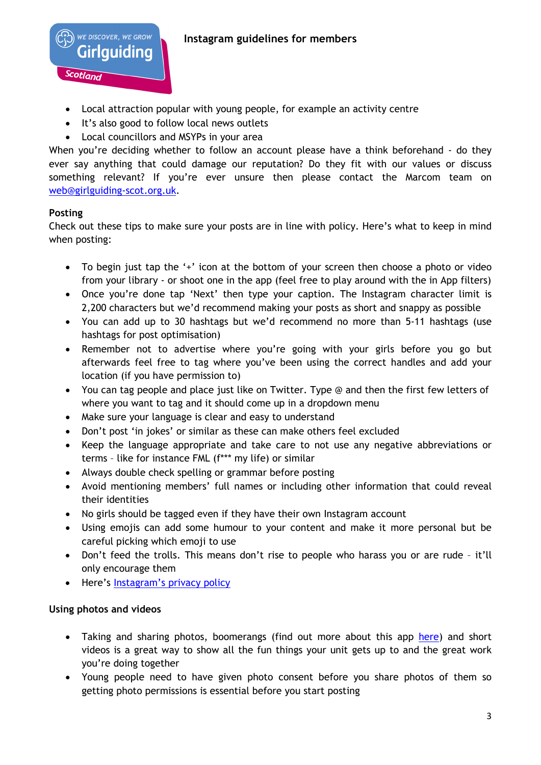

- Local attraction popular with young people, for example an activity centre
- It's also good to follow local news outlets
- Local councillors and MSYPs in your area

When you're deciding whether to follow an account please have a think beforehand - do they ever say anything that could damage our reputation? Do they fit with our values or discuss something relevant? If you're ever unsure then please contact the Marcom team on [web@girlguiding-scot.org.uk.](mailto:web@girlguiding-scot.org.uk)

# **Posting**

Check out these tips to make sure your posts are in line with policy. Here's what to keep in mind when posting:

- To begin just tap the '+' icon at the bottom of your screen then choose a photo or video from your library - or shoot one in the app (feel free to play around with the in App filters)
- Once you're done tap 'Next' then type your caption. The Instagram character limit is 2,200 characters but we'd recommend making your posts as short and snappy as possible
- You can add up to 30 hashtags but we'd recommend no more than 5-11 hashtags (use hashtags for post optimisation)
- Remember not to advertise where you're going with your girls before you go but afterwards feel free to tag where you've been using the correct handles and add your location (if you have permission to)
- You can tag people and place just like on Twitter. Type @ and then the first few letters of where you want to tag and it should come up in a dropdown menu
- Make sure your language is clear and easy to understand
- Don't post 'in jokes' or similar as these can make others feel excluded
- Keep the language appropriate and take care to not use any negative abbreviations or terms – like for instance FML (f\*\*\* my life) or similar
- Always double check spelling or grammar before posting
- Avoid mentioning members' full names or including other information that could reveal their identities
- No girls should be tagged even if they have their own Instagram account
- Using emojis can add some humour to your content and make it more personal but be careful picking which emoji to use
- Don't feed the trolls. This means don't rise to people who harass you or are rude it'll only encourage them
- Here's [Instagram's privacy policy](https://help.instagram.com/402411646841720)

### **Using photos and videos**

- Taking and sharing photos, boomerangs (find out more about this app [here\)](https://itunes.apple.com/gb/app/boomerang-from-instagram/id1041596399?mt=8) and short videos is a great way to show all the fun things your unit gets up to and the great work you're doing together
- Young people need to have given photo consent before you share photos of them so getting photo permissions is essential before you start posting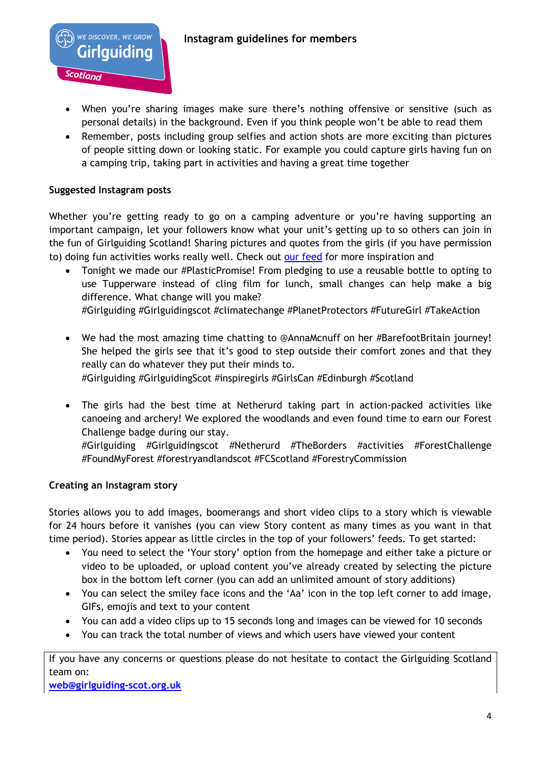

- When you're sharing images make sure there's nothing offensive or sensitive (such as personal details) in the background. Even if you think people won't be able to read them
- Remember, posts including group selfies and action shots are more exciting than pictures of people sitting down or looking static. For example you could capture girls having fun on a camping trip, taking part in activities and having a great time together

## **Suggested Instagram posts**

WE DISCOVER, WE GROW Girlauidina

Scotland

Whether you're getting ready to go on a camping adventure or you're having supporting an important campaign, let your followers know what your unit's getting up to so others can join in the fun of Girlguiding Scotland! Sharing pictures and quotes from the girls (if you have permission to) doing fun activities works really well. Check out [our feed](https://www.instagram.com/girlguidingscot/) for more inspiration and

- Tonight we made our #PlasticPromise! From pledging to use a reusable bottle to opting to use Tupperware instead of cling film for lunch, small changes can help make a big difference. What change will you make?
	- #Girlguiding #Girlguidingscot #climatechange #PlanetProtectors #FutureGirl #TakeAction
- We had the most amazing time chatting to @AnnaMcnuff on her #BarefootBritain journey! She helped the girls see that it's good to step outside their comfort zones and that they really can do whatever they put their minds to.

#Girlguiding #GirlguidingScot #inspiregirls #GirlsCan #Edinburgh #Scotland

• The girls had the best time at Netherurd taking part in action-packed activities like canoeing and archery! We explored the woodlands and even found time to earn our Forest Challenge badge during our stay.

#Girlguiding #Girlguidingscot #Netherurd #TheBorders #activities #ForestChallenge #FoundMyForest #forestryandlandscot #FCScotland #ForestryCommission

# **Creating an Instagram story**

Stories allows you to add images, boomerangs and short video clips to a story which is viewable for 24 hours before it vanishes (you can view Story content as many times as you want in that time period). Stories appear as little circles in the top of your followers' feeds. To get started:

- You need to select the 'Your story' option from the homepage and either take a picture or video to be uploaded, or upload content you've already created by selecting the picture box in the bottom left corner (you can add an unlimited amount of story additions)
- You can select the smiley face icons and the 'Aa' icon in the top left corner to add image, GIFs, emojis and text to your content
- You can add a video clips up to 15 seconds long and images can be viewed for 10 seconds
- You can track the total number of views and which users have viewed your content

If you have any concerns or questions please do not hesitate to contact the Girlguiding Scotland team on:

**[web@girlguiding-scot.org.uk](mailto:web@girlguiding-scot.org.uk)**